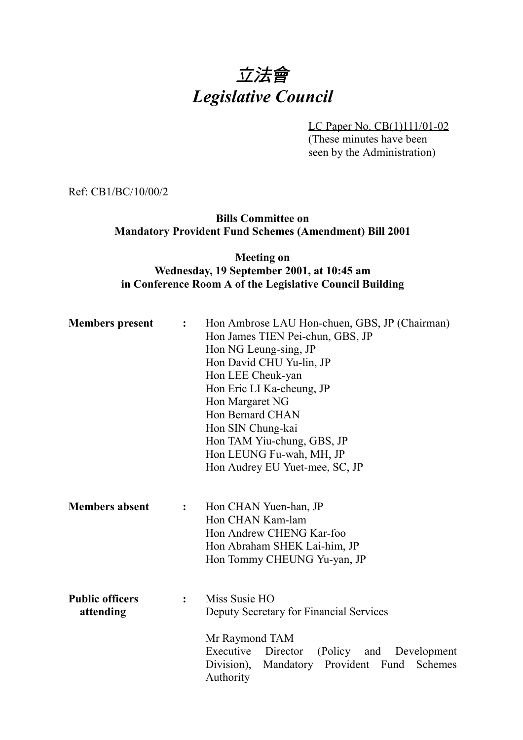## 立法會 *Legislative Council*

LC Paper No. CB(1)111/01-02 (These minutes have been seen by the Administration)

Ref: CB1/BC/10/00/2

**Bills Committee on Mandatory Provident Fund Schemes (Amendment) Bill 2001**

## **Meeting on Wednesday, 19 September 2001, at 10:45 am in Conference Room A of the Legislative Council Building**

| <b>Members</b> present              | $\ddot{\cdot}$ | Hon Ambrose LAU Hon-chuen, GBS, JP (Chairman)<br>Hon James TIEN Pei-chun, GBS, JP<br>Hon NG Leung-sing, JP<br>Hon David CHU Yu-lin, JP<br>Hon LEE Cheuk-yan<br>Hon Eric LI Ka-cheung, JP<br>Hon Margaret NG<br><b>Hon Bernard CHAN</b><br>Hon SIN Chung-kai |
|-------------------------------------|----------------|-------------------------------------------------------------------------------------------------------------------------------------------------------------------------------------------------------------------------------------------------------------|
|                                     |                | Hon TAM Yiu-chung, GBS, JP<br>Hon LEUNG Fu-wah, MH, JP<br>Hon Audrey EU Yuet-mee, SC, JP                                                                                                                                                                    |
| <b>Members absent</b>               | :              | Hon CHAN Yuen-han, JP<br>Hon CHAN Kam-lam<br>Hon Andrew CHENG Kar-foo<br>Hon Abraham SHEK Lai-him, JP<br>Hon Tommy CHEUNG Yu-yan, JP                                                                                                                        |
| <b>Public officers</b><br>attending | $\ddot{\cdot}$ | Miss Susie HO<br>Deputy Secretary for Financial Services                                                                                                                                                                                                    |
|                                     |                | Mr Raymond TAM<br>Executive<br>Director<br>(Policy and<br>Development<br>Division),<br>Mandatory Provident Fund<br>Schemes<br>Authority                                                                                                                     |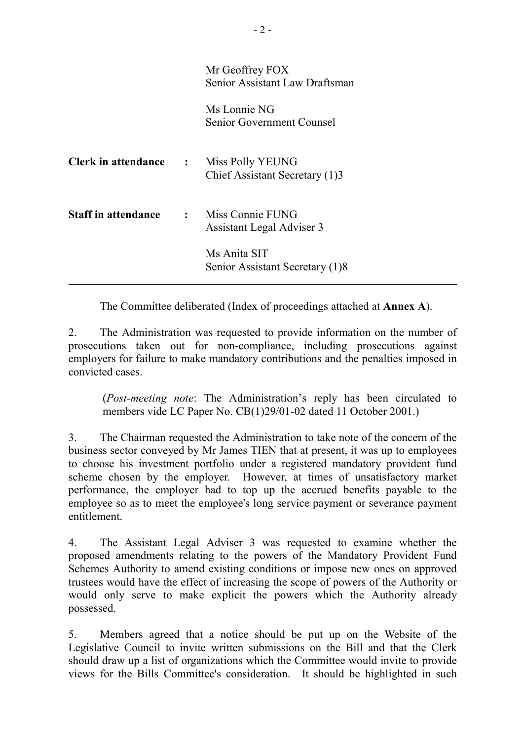|                            | Mr Geoffrey FOX<br>Senior Assistant Law Draftsman  |
|----------------------------|----------------------------------------------------|
|                            | Ms Lonnie NG<br>Senior Government Counsel          |
| Clerk in attendance :      | Miss Polly YEUNG<br>Chief Assistant Secretary (1)3 |
| <b>Staff in attendance</b> | : Miss Connie FUNG<br>Assistant Legal Adviser 3    |
|                            | Ms Anita SIT<br>Senior Assistant Secretary (1)8    |

The Committee deliberated (Index of proceedings attached at **Annex A**).

2. The Administration was requested to provide information on the number of prosecutions taken out for non-compliance, including prosecutions against employers for failure to make mandatory contributions and the penalties imposed in convicted cases.

(*Post-meeting note*: The Administration's reply has been circulated to members vide LC Paper No. CB(1)29/01-02 dated 11 October 2001.)

3. The Chairman requested the Administration to take note of the concern of the business sector conveyed by Mr James TIEN that at present, it was up to employees to choose his investment portfolio under a registered mandatory provident fund scheme chosen by the employer. However, at times of unsatisfactory market performance, the employer had to top up the accrued benefits payable to the employee so as to meet the employee's long service payment or severance payment entitlement.

4. The Assistant Legal Adviser 3 was requested to examine whether the proposed amendments relating to the powers of the Mandatory Provident Fund Schemes Authority to amend existing conditions or impose new ones on approved trustees would have the effect of increasing the scope of powers of the Authority or would only serve to make explicit the powers which the Authority already possessed.

5. Members agreed that a notice should be put up on the Website of the Legislative Council to invite written submissions on the Bill and that the Clerk should draw up a list of organizations which the Committee would invite to provide views for the Bills Committee's consideration. It should be highlighted in such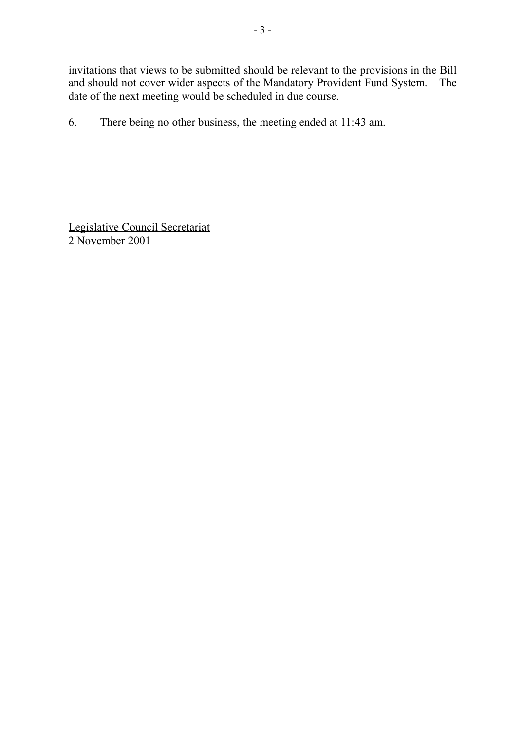invitations that views to be submitted should be relevant to the provisions in the Bill and should not cover wider aspects of the Mandatory Provident Fund System. The date of the next meeting would be scheduled in due course.

6. There being no other business, the meeting ended at 11:43 am.

Legislative Council Secretariat 2 November 2001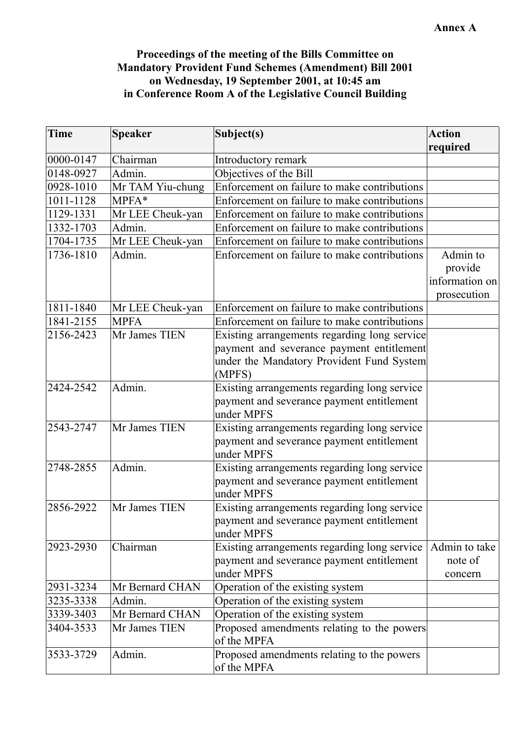## **Proceedings of the meeting of the Bills Committee on Mandatory Provident Fund Schemes (Amendment) Bill 2001 on Wednesday, 19 September 2001, at 10:45 am in Conference Room A of the Legislative Council Building**

| <b>Time</b> | <b>Speaker</b>   | Subject(s)                                   | <b>Action</b>  |
|-------------|------------------|----------------------------------------------|----------------|
|             |                  |                                              | required       |
| 0000-0147   | Chairman         | Introductory remark                          |                |
| 0148-0927   | Admin.           | Objectives of the Bill                       |                |
| 0928-1010   | Mr TAM Yiu-chung | Enforcement on failure to make contributions |                |
| 1011-1128   | MPFA*            | Enforcement on failure to make contributions |                |
| 1129-1331   | Mr LEE Cheuk-yan | Enforcement on failure to make contributions |                |
| 1332-1703   | Admin.           | Enforcement on failure to make contributions |                |
| 1704-1735   | Mr LEE Cheuk-yan | Enforcement on failure to make contributions |                |
| 1736-1810   | Admin.           | Enforcement on failure to make contributions | Admin to       |
|             |                  |                                              | provide        |
|             |                  |                                              | information on |
|             |                  |                                              | prosecution    |
| 1811-1840   | Mr LEE Cheuk-yan | Enforcement on failure to make contributions |                |
| 1841-2155   | <b>MPFA</b>      | Enforcement on failure to make contributions |                |
| 2156-2423   | Mr James TIEN    | Existing arrangements regarding long service |                |
|             |                  | payment and severance payment entitlement    |                |
|             |                  | under the Mandatory Provident Fund System    |                |
|             |                  | (MPFS)                                       |                |
| 2424-2542   | Admin.           | Existing arrangements regarding long service |                |
|             |                  | payment and severance payment entitlement    |                |
|             |                  | under MPFS                                   |                |
| 2543-2747   | Mr James TIEN    | Existing arrangements regarding long service |                |
|             |                  | payment and severance payment entitlement    |                |
|             |                  | under MPFS                                   |                |
| 2748-2855   | Admin.           | Existing arrangements regarding long service |                |
|             |                  | payment and severance payment entitlement    |                |
|             |                  | under MPFS                                   |                |
| 2856-2922   | Mr James TIEN    | Existing arrangements regarding long service |                |
|             |                  | payment and severance payment entitlement    |                |
|             |                  | under MPFS                                   |                |
| 2923-2930   | Chairman         | Existing arrangements regarding long service | Admin to take  |
|             |                  | payment and severance payment entitlement    | note of        |
|             |                  | under MPFS                                   | concern        |
| 2931-3234   | Mr Bernard CHAN  | Operation of the existing system             |                |
| 3235-3338   | Admin.           | Operation of the existing system             |                |
| 3339-3403   | Mr Bernard CHAN  | Operation of the existing system             |                |
| 3404-3533   | Mr James TIEN    | Proposed amendments relating to the powers   |                |
|             |                  | of the MPFA                                  |                |
| 3533-3729   | Admin.           | Proposed amendments relating to the powers   |                |
|             |                  | of the MPFA                                  |                |